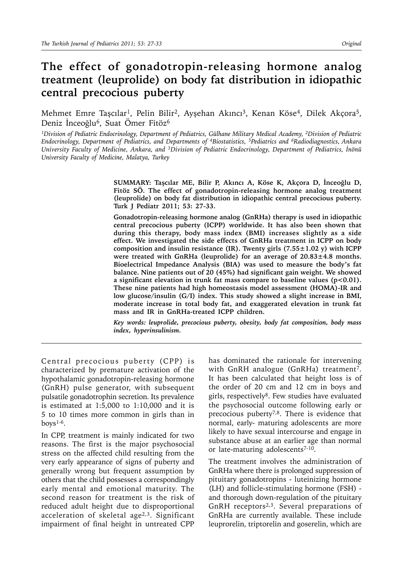# **The effect of gonadotropin-releasing hormone analog treatment (leuprolide) on body fat distribution in idiopathic central precocious puberty**

Mehmet Emre Taşcılar<sup>1</sup>, Pelin Bilir<sup>2</sup>, Ayşehan Akıncı<sup>3</sup>, Kenan Köse<sup>4</sup>, Dilek Akçora<sup>5</sup>, Deniz İnceoğlu<sup>6</sup>, Suat Ömer Fitöz<sup>6</sup>

*1Division of Pediatric Endocrinology, Department of Pediatrics, Gülhane Military Medical Academy, 2Division of Pediatric Endocrinology, Department of Pediatrics, and Departments of 4Biostatistics, 5Pediatrics and 6Radiodiagnostics, Ankara University Faculty of Medicine, Ankara, and 3Division of Pediatric Endocrinology, Department of Pediatrics, İnönü University Faculty of Medicine, Malatya, Turkey*

> **SUMMARY: Taşcılar ME, Bilir P, Akıncı A, Köse K, Akçora D, İnceoğlu D, Fitöz SÖ. The effect of gonadotropin-releasing hormone analog treatment (leuprolide) on body fat distribution in idiopathic central precocious puberty. Turk J Pediatr 2011; 53: 27-33.**

> **Gonadotropin-releasing hormone analog (GnRHa) therapy is used in idiopathic central precocious puberty (ICPP) worldwide. It has also been shown that during this therapy, body mass index (BMI) increases slightly as a side effect. We investigated the side effects of GnRHa treatment in ICPP on body composition and insulin resistance (IR). Twenty girls (7.55±1.02 y) with ICPP were treated with GnRHa (leuprolide) for an average of 20.83±4.8 months. Bioelectrical Impedance Analysis (BIA) was used to measure the body's fat balance. Nine patients out of 20 (45%) had significant gain weight. We showed a significant elevation in trunk fat mass compare to baseline values (p<0.01). These nine patients had high homeostasis model assessment (HOMA)-IR and low glucose/insulin (G/I) index. This study showed a slight increase in BMI, moderate increase in total body fat, and exaggerated elevation in trunk fat mass and IR in GnRHa-treated ICPP children.**

> *Key words: leuprolide, precocious puberty, obesity, body fat composition, body mass index, hyperinsulinism.*

Central precocious puberty (CPP) is characterized by premature activation of the hypothalamic gonadotropin-releasing hormone (GnRH) pulse generator, with subsequent pulsatile gonadotrophin secretion. Its prevalence is estimated at 1:5,000 to 1:10,000 and it is 5 to 10 times more common in girls than in boys1-6.

In CPP, treatment is mainly indicated for two reasons. The first is the major psychosocial stress on the affected child resulting from the very early appearance of signs of puberty and generally wrong but frequent assumption by others that the child possesses a correspondingly early mental and emotional maturity. The second reason for treatment is the risk of reduced adult height due to disproportional acceleration of skeletal age<sup>2,3</sup>. Significant impairment of final height in untreated CPP

has dominated the rationale for intervening with GnRH analogue (GnRHa) treatment<sup>7</sup>. It has been calculated that height loss is of the order of 20 cm and 12 cm in boys and girls, respectively8. Few studies have evaluated the psychosocial outcome following early or precocious puberty7,8. There is evidence that normal, early- maturing adolescents are more likely to have sexual intercourse and engage in substance abuse at an earlier age than normal or late-maturing adolescents<sup>7-10</sup>.

The treatment involves the administration of GnRHa where there is prolonged suppression of pituitary gonadotropins - luteinizing hormone (LH) and follicle-stimulating hormone (FSH) and thorough down-regulation of the pituitary GnRH receptors2,3. Several preparations of GnRHa are currently available. These include leuprorelin, triptorelin and goserelin, which are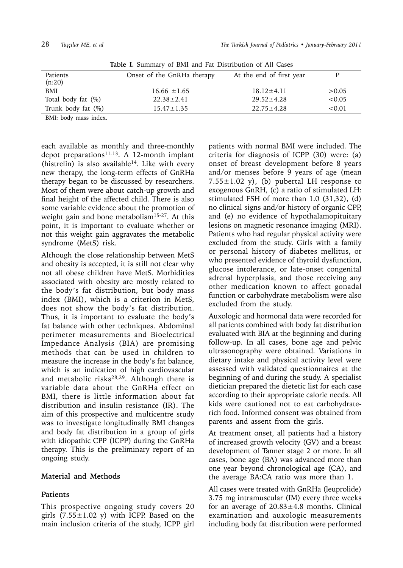|                       | <b>Table 1.</b> Summary of BMI and Fat Distribution of All Cases |                          |        |
|-----------------------|------------------------------------------------------------------|--------------------------|--------|
| Patients<br>(n:20)    | Onset of the GnRHa therapy                                       | At the end of first year |        |
| BMI                   | $16.66 \pm 1.65$                                                 | $18.12 \pm 4.11$         | >0.05  |
| Total body fat $(\%)$ | $22.38 \pm 2.41$                                                 | $29.52 \pm 4.28$         | < 0.05 |
| Trunk body fat (%)    | $15.47 \pm 1.35$                                                 | $22.75 \pm 4.28$         | < 0.01 |
|                       |                                                                  |                          |        |

**Table I.** Summary of BMI and Fat Distribution of All Cases

BMI: body mass index.

each available as monthly and three-monthly depot preparations<sup>11-13</sup>. A 12-month implant (histrelin) is also available<sup>14</sup>. Like with every new therapy, the long-term effects of GnRHa therapy began to be discussed by researchers. Most of them were about catch-up growth and final height of the affected child. There is also some variable evidence about the promotion of weight gain and bone metabolism<sup>15-27</sup>. At this point, it is important to evaluate whether or not this weight gain aggravates the metabolic syndrome (MetS) risk.

Although the close relationship between MetS and obesity is accepted, it is still not clear why not all obese children have MetS. Morbidities associated with obesity are mostly related to the body's fat distribution, but body mass index (BMI), which is a criterion in MetS, does not show the body's fat distribution. Thus, it is important to evaluate the body's fat balance with other techniques. Abdominal perimeter measurements and Bioelectrical Impedance Analysis (BIA) are promising methods that can be used in children to measure the increase in the body's fat balance, which is an indication of high cardiovascular and metabolic risks<sup>28,29</sup>. Although there is variable data about the GnRHa effect on BMI, there is little information about fat distribution and insulin resistance (IR). The aim of this prospective and multicentre study was to investigate longitudinally BMI changes and body fat distribution in a group of girls with idiopathic CPP (ICPP) during the GnRHa therapy. This is the preliminary report of an ongoing study.

## **Material and Methods**

## **Patients**

This prospective ongoing study covers 20 girls  $(7.55 \pm 1.02 \text{ y})$  with ICPP. Based on the main inclusion criteria of the study, ICPP girl

patients with normal BMI were included. The criteria for diagnosis of ICPP (30) were: (a) onset of breast development before 8 years and/or menses before 9 years of age (mean  $7.55 \pm 1.02$  y), (b) pubertal LH response to exogenous GnRH, (c) a ratio of stimulated LH: stimulated FSH of more than 1.0 (31,32), (d) no clinical signs and/or history of organic CPP, and (e) no evidence of hypothalamopituitary lesions on magnetic resonance imaging (MRI). Patients who had regular physical activity were excluded from the study. Girls with a family or personal history of diabetes mellitus, or who presented evidence of thyroid dysfunction, glucose intolerance, or late-onset congenital adrenal hyperplasia, and those receiving any other medication known to affect gonadal function or carbohydrate metabolism were also excluded from the study.

Auxologic and hormonal data were recorded for all patients combined with body fat distribution evaluated with BIA at the beginning and during follow-up. In all cases, bone age and pelvic ultrasonography were obtained. Variations in dietary intake and physical activity level were assessed with validated questionnaires at the beginning of and during the study. A specialist dietician prepared the dietetic list for each case according to their appropriate calorie needs. All kids were cautioned not to eat carbohydraterich food. Informed consent was obtained from parents and assent from the girls.

At treatment onset, all patients had a history of increased growth velocity (GV) and a breast development of Tanner stage 2 or more. In all cases, bone age (BA) was advanced more than one year beyond chronological age (CA), and the average BA:CA ratio was more than 1.

All cases were treated with GnRHa (leuprolide) 3.75 mg intramuscular (IM) every three weeks for an average of  $20.83 \pm 4.8$  months. Clinical examination and auxologic measurements including body fat distribution were performed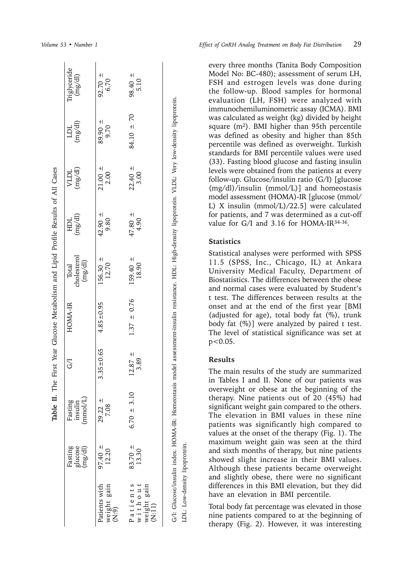|                                                                            |                               |                                                                                                                                                          |                     | Table II. The First Year Glucose Metabolism and Lipid Profile Results of All Cases |                                 |                     |                     |                   |                         |
|----------------------------------------------------------------------------|-------------------------------|----------------------------------------------------------------------------------------------------------------------------------------------------------|---------------------|------------------------------------------------------------------------------------|---------------------------------|---------------------|---------------------|-------------------|-------------------------|
|                                                                            | glucose<br>Fasting<br>(mg/dl) | $(\text{mmol/L})$<br>Fasting<br>insulin                                                                                                                  | Ğ                   | HOMA-IR                                                                            | cholesterol<br>(mg/dl)<br>Total | (mg/dl)             | (mg/dl)<br>VLDL     | (mg/dl)<br>日      | Triglyceride<br>(mg/dl) |
| Patients with<br>weight gain<br>(N:9)                                      | $97.40 \pm$<br>12.20          | $29.22 \pm$<br>7.08                                                                                                                                      | $3.35 \pm 0.65$     | $4.85 \pm 0.95$                                                                    | $156.30 =$<br>12.70             | 42.90 $\pm$<br>9.80 | $21.00 \pm$<br>2.00 | $89.90 +$<br>9.70 | $92.70 =$<br>6.70       |
| Patients<br>without<br>weight gain<br>$\widetilde{\text{R}}$ .<br>$\vdots$ | 83.70 $\pm$<br>13.30          | $6.70 \pm 3.10$                                                                                                                                          | $12.87 \pm$<br>3.89 | $1.37 \pm 0.76$                                                                    | $159.40 =$<br>18.90             | $47.80 =$<br>4.90   | $22.40 =$<br>3.00   | $84.10 \pm 70$    | $98.40 =$<br>5.10       |
|                                                                            |                               | G/I: Glucose/insulin index. HOMA-IR: Homeostasis model assessment-insulin resistance. HDL: High-density lipoprotein. VLDL: Very low-density lipoprotein. |                     |                                                                                    |                                 |                     |                     |                   |                         |

*Volume 53 • Number 1 Effect of GnRH Analog Treatment on Body Fat Distribution* 29

every three months (Tanita Body Composition Model No: BC-480); assessment of serum LH, FSH and estrogen levels was done during the follow-up. Blood samples for hormonal evaluation (LH, FSH) were analyzed with immunochemiluminometric assay (ICMA). BMI was calculated as weight (kg) divided by height square  $(m^2)$ . BMI higher than 95th percentile was defined as obesity and higher than 85th percentile was defined as overweight. Turkish standards for BMI percentile values were used (33). Fasting blood glucose and fasting insulin levels were obtained from the patients at every follow-up. Glucose/insulin ratio (G/I) [glucose (mg/dl)/insulin (mmol/L)] and homeostasis model assessment (HOMA)-IR [glucose (mmol/ L) X insulin (mmol/L)/22.5] were calculated for patients, and 7 was determined as a cut-off value for G/I and 3.16 for HOMA-IR<sup>34-36</sup>.

### **Statistics**

Statistical analyses were performed with SPSS 11.5 (SPSS, Inc., Chicago, IL) at Ankara University Medical Faculty, Department of Biostatistics. The differences between the obese and normal cases were evaluated by Student's t test. The differences between results at the onset and at the end of the first year [BMI (adjusted for age), total body fat (%), trunk body fat (%)] were analyzed by paired t test. The level of statistical significance was set at  $p < 0.05$ .

### **Results**

LDL: Low-density lipoprotein.

LDL: Low-density lipoprotein

The main results of the study are summarized in Tables I and II. None of our patients was overweight or obese at the beginning of the therapy. Nine patients out of 20 (45%) had significant weight gain compared to the others. The elevation in BMI values in these nine patients was significantly high compared to values at the onset of the therapy (Fig. 1). The maximum weight gain was seen at the third and sixth months of therapy, but nine patients showed slight increase in their BMI values. Although these patients became overweight and slightly obese, there were no significant differences in this BMI elevation, but they did have an elevation in BMI percentile.

Total body fat percentage was elevated in those nine patients compared to at the beginning of therapy (Fig. 2). However, it was interesting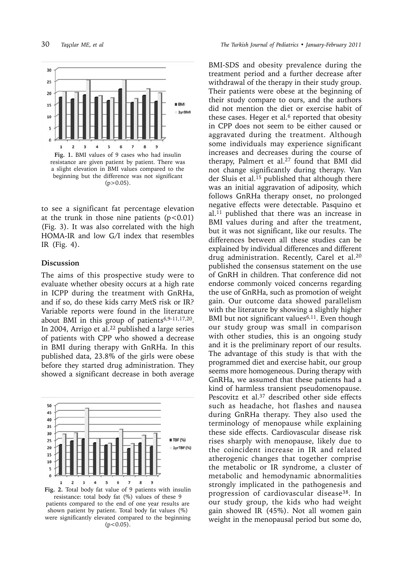

resistance are given patient by patient. There was a slight elevation in BMI values compared to the beginning but the difference was not significant  $(p>0.05)$ .

to see a significant fat percentage elevation at the trunk in those nine patients  $(p<0.01)$ (Fig. 3). It was also correlated with the high HOMA-IR and low G/I index that resembles IR (Fig. 4).

### **Discussion**

The aims of this prospective study were to evaluate whether obesity occurs at a high rate in ICPP during the treatment with GnRHa, and if so, do these kids carry MetS risk or IR? Variable reports were found in the literature about BMI in this group of patients<sup>6,9-11,17,20</sup>. In 2004, Arrigo et al.<sup>22</sup> published a large series of patients with CPP who showed a decrease in BMI during therapy with GnRHa. In this published data, 23.8% of the girls were obese before they started drug administration. They showed a significant decrease in both average



**Fig. 2.** Total body fat value of 9 patients with insulin resistance: total body fat (%) values of these 9 patients compared to the end of one year results are shown patient by patient. Total body fat values (%) were significantly elevated compared to the beginning  $(p<0.05)$ .

BMI-SDS and obesity prevalence during the treatment period and a further decrease after withdrawal of the therapy in their study group. Their patients were obese at the beginning of their study compare to ours, and the authors did not mention the diet or exercise habit of these cases. Heger et al. $6$  reported that obesity in CPP does not seem to be either caused or aggravated during the treatment. Although some individuals may experience significant increases and decreases during the course of therapy, Palmert et al.27 found that BMI did not change significantly during therapy. Van der Sluis et al.15 published that although there was an initial aggravation of adiposity, which follows GnRHa therapy onset, no prolonged negative effects were detectable. Pasquino et al.11 published that there was an increase in BMI values during and after the treatment, but it was not significant, like our results. The differences between all these studies can be explained by individual differences and different drug administration. Recently, Carel et al.20 published the consensus statement on the use of GnRH in children. That conference did not endorse commonly voiced concerns regarding the use of GnRHa, such as promotion of weight gain. Our outcome data showed parallelism with the literature by showing a slightly higher BMI but not significant values<sup>6,11</sup>. Even though our study group was small in comparison with other studies, this is an ongoing study and it is the preliminary report of our results. The advantage of this study is that with the programmed diet and exercise habit, our group seems more homogeneous. During therapy with GnRHa, we assumed that these patients had a kind of harmless transient pseudomenopause. Pescovitz et al.<sup>37</sup> described other side effects such as headache, hot flashes and nausea during GnRHa therapy. They also used the terminology of menopause while explaining these side effects. Cardiovascular disease risk rises sharply with menopause, likely due to the coincident increase in IR and related atherogenic changes that together comprise the metabolic or IR syndrome, a cluster of metabolic and hemodynamic abnormalities strongly implicated in the pathogenesis and progression of cardiovascular disease38. In our study group, the kids who had weight gain showed IR (45%). Not all women gain weight in the menopausal period but some do,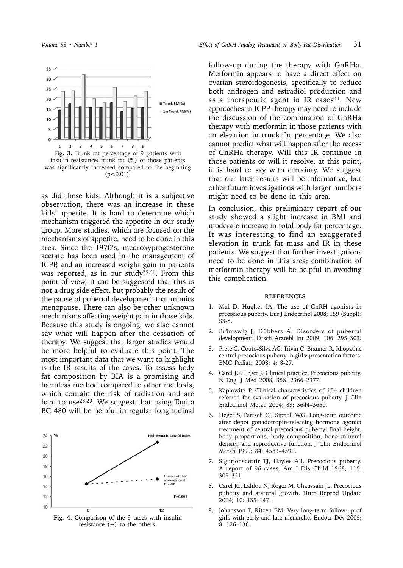



as did these kids. Although it is a subjective observation, there was an increase in these kids' appetite. It is hard to determine which mechanism triggered the appetite in our study group. More studies, which are focused on the mechanisms of appetite, need to be done in this area. Since the 1970's, medroxyprogesterone acetate has been used in the management of ICPP, and an increased weight gain in patients was reported, as in our study<sup>39,40</sup>. From this point of view, it can be suggested that this is not a drug side effect, but probably the result of the pause of pubertal development that mimics menopause. There can also be other unknown mechanisms affecting weight gain in those kids. Because this study is ongoing, we also cannot say what will happen after the cessation of therapy. We suggest that larger studies would be more helpful to evaluate this point. The most important data that we want to highlight is the IR results of the cases. To assess body fat composition by BIA is a promising and harmless method compared to other methods, which contain the risk of radiation and are hard to use28,29. We suggest that using Tanita BC 480 will be helpful in regular longitudinal



follow-up during the therapy with GnRHa. Metformin appears to have a direct effect on ovarian steroidogenesis, specifically to reduce both androgen and estradiol production and as a therapeutic agent in IR cases<sup>41</sup>. New approaches in ICPP therapy may need to include the discussion of the combination of GnRHa therapy with metformin in those patients with an elevation in trunk fat percentage. We also cannot predict what will happen after the recess of GnRHa therapy. Will this IR continue in those patients or will it resolve; at this point, it is hard to say with certainty. We suggest that our later results will be informative, but other future investigations with larger numbers might need to be done in this area.

In conclusion, this preliminary report of our study showed a slight increase in BMI and moderate increase in total body fat percentage. It was interesting to find an exaggerated elevation in trunk fat mass and IR in these patients. We suggest that further investigations need to be done in this area; combination of metformin therapy will be helpful in avoiding this complication.

#### **REFERENCES**

- 1. Mul D, Hughes IA. The use of GnRH agonists in precocious puberty. Eur J Endocrinol 2008; 159 (Suppl): S3-8.
- 2. Brämswig J, Dübbers A. Disorders of pubertal development. Dtsch Arztebl Int 2009; 106: 295–303.
- 3. Prete G, Couto-Silva AC, Trivin C, Brauner R. Idiopathic central precocious puberty in girls: presentation factors. BMC Pediatr 2008; 4: 8-27.
- 4. Carel JC, Leger J. Clinical practice. Precocious puberty. N Engl J Med 2008; 358: 2366–2377.
- 5. Kaplowitz P. Clinical characteristics of 104 children referred for evaluation of precocious puberty. J Clin Endocrinol Metab 2004; 89: 3644–3650.
- 6. Heger S, Partsch CJ, Sippell WG. Long-term outcome after depot gonadotropin-releasing hormone agonist treatment of central precocious puberty: final height, body proportions, body composition, bone mineral density, and reproductive function. J Clin Endocrinol Metab 1999; 84: 4583–4590.
- 7. Sigurjonsdottir TJ, Hayles AB. Precocious puberty. A report of 96 cases. Am J Dis Child 1968; 115: 309–321.
- 8. Carel JC, Lahlou N, Roger M, Chaussain JL. Precocious puberty and statural growth. Hum Reprod Update 2004; 10: 135–147.
- 9. Johansson T, Ritzen EM. Very long-term follow-up of girls with early and late menarche. Endocr Dev 2005; 8: 126–136.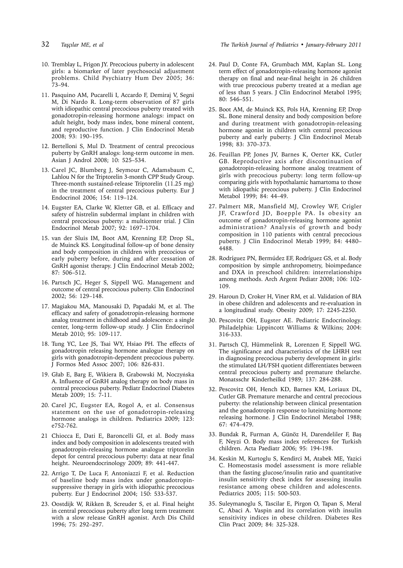- 
- 10. Tremblay L, Frigon JY. Precocious puberty in adolescent girls: a biomarker of later psychosocial adjustment problems. Child Psychiatry Hum Dev 2005; 36: 73–94.
- 11. Pasquino AM, Pucarelli I, Accardo F, Demiraj V, Segni M, Di Nardo R. Long-term observation of 87 girls with idiopathic central precocious puberty treated with gonadotropin-releasing hormone analogs: impact on adult height, body mass index, bone mineral content, and reproductive function. J Clin Endocrinol Metab 2008; 93: 190–195.
- 12. Bertelloni S, Mul D. Treatment of central precocious puberty by GnRH analogs: long-term outcome in men. Asian J Androl 2008; 10: 525–534.
- 13. Carel JC, Blumberg J, Seymour C, Adamsbaum C, Lahlou N for the Triptorelin 3-month CPP Study Group. Three-month sustained-release Triptorelin (11.25 mg) in the treatment of central precocious puberty. Eur J Endocrinol 2006; 154: 119–124.
- 14. Eugster EA, Clarke W, Kletter GB, et al. Efficacy and safety of histrelin subdermal implant in children with central precocious puberty: a multicenter trial. J Clin Endocrinol Metab 2007; 92: 1697–1704.
- 15. van der Sluis IM, Boot AM, Krenning EP, Drop SL, de Muinck KS. Longitudinal follow-up of bone density and body composition in children with precocious or early puberty before, during and after cessation of GnRH agonist therapy. J Clin Endocrinol Metab 2002; 87: 506–512.
- 16. Partsch JC, Heger S, Sippell WG. Management and outcome of central precocious puberty. Clin Endocrinol 2002; 56: 129–148.
- 17. Magiakou MA, Manousaki D, Papadaki M, et al. The efficacy and safety of gonadotropin-releasing hormone analog treatment in childhood and adolescence: a single center, long-term follow-up study. J Clin Endocrinol Metab 2010; 95: 109-117.
- 18. Tung YC, Lee JS, Tsai WY, Hsiao PH. The effects of gonadotropin releasing hormone analogue therapy on girls with gonadotropin-dependent precocious puberty. J Formos Med Assoc 2007; 106: 826-831.
- 19. Głab E, Barg E, Wikiera B, Grabowski M, Noczyńska A. Influence of GnRH analog therapy on body mass in central precocious puberty. Pediatr Endocrinol Diabetes Metab 2009; 15: 7-11.
- 20. Carel JC, Eugster EA, Rogol A, et al. Consensus statement on the use of gonadotropin-releasing hormone analogs in children. Pediatrics 2009; 123: e752-762.
- 21 Chiocca E, Dati E, Baroncelli GI, et al. Body mass index and body composition in adolescents treated with gonadotropin-releasing hormone analogue triptorelin depot for central precocious puberty: data at near final height. Neuroendocrinology 2009; 89: 441-447.
- 22. Arrigo T, De Luca F, Antoniazzi F, et al. Reduction of baseline body mass index under gonadotropinsuppressive therapy in girls with idiopathic precocious puberty. Eur J Endocrinol 2004; 150: 533-537.
- 23. Oostdijk W, Rikken B, Screuder S, et al. Final height in central precocious puberty after long term treatment with a slow release GnRH agonist. Arch Dis Child 1996; 75: 292–297.

32 *Taşçılar ME, et al The Turkish Journal of Pediatrics • January-February 2011*

- 24. Paul D, Conte FA, Grumbach MM, Kaplan SL. Long term effect of gonadotropin-releasing hormone agonist therapy on final and near-final height in 26 children with true precocious puberty treated at a median age of less than 5 years. J Clin Endocrinol Metabol 1995; 80: 546–551.
- 25. Boot AM, de Muinck KS, Pols HA, Krenning EP, Drop SL. Bone mineral density and body composition before and during treatment with gonadotropin-releasing hormone agonist in children with central precocious puberty and early puberty. J Clin Endocrinol Metab 1998; 83: 370–373.
- 26. Feuillan PP, Jones JV, Barnes K, Oerter KK, Cutler GB. Reproductive axis after discontinuation of gonadotropin-releasing hormone analog treatment of girls with precocious puberty: long term follow-up comparing girls with hypothalamic hamartoma to those with idiopathic precocious puberty. J Clin Endocrinol Metabol 1999; 84: 44–49.
- 27. Palmert MR, Mansfield MJ, Crowley WF, Crigler JF, Crawford JD, Boepple PA. Is obesity an outcome of gonadotropin-releasing hormone agonist administration? Analysis of growth and body composition in 110 patients with central precocious puberty. J Clin Endocrinol Metab 1999; 84: 4480– 4488.
- 28. Rodríguez PN, Bermúdez EF, Rodríguez GS, et al. Body composition by simple anthropometry, bioimpedance and DXA in preschool children: interrelationships among methods. Arch Argent Pediatr 2008; 106: 102- 109.
- 29. Haroun D, Croker H, Viner RM, et al. Validation of BIA in obese children and adolescents and re-evaluation in a longitudinal study. Obesity 2009; 17: 2245-2250.
- 30. Pescovitz OH, Eugster AE. Pediatric Endocrinology. Philadelphia: Lippincott Williams & Wilkins; 2004: 316-333.
- 31. Partsch CJ, Hümmelink R, Lorenzen F, Sippell WG. The significance and characteristics of the LHRH test in diagnosing precocious puberty development in girls: the stimulated LH/FSH quotient differentiates between central precocious puberty and premature thelarche. Monatsschr Kinderheilkd 1989; 137: 284-288.
- 32. Pescovitz OH, Hench KD, Barnes KM, Loriaux DL, Cutler GB. Premature menarche and central precocious puberty: the relationship between clinical presentation and the gonadotropin response to luteinizing-hormone releasing hormone. J Clin Endocrinol Metabol 1988; 67: 474–479.
- 33. Bundak R, Furman A, Günöz H, Darendeliler F, Baş F, Neyzi O. Body mass index references for Turkish children. Acta Paediatr 2006; 95: 194-198.
- 34. Keskin M, Kurtoglu S, Kendirci M, Atabek ME, Yazici C. Homeostasis model assessment is more reliable than the fasting glucose/insulin ratio and quantitative insulin sensitivity check index for assessing insulin resistance among obese children and adolescents. Pediatrics 2005; 115: 500-503.
- 35. Suleymanoglu S, Tascilar E, Pirgon O, Tapan S, Meral C, Abaci A. Vaspin and its correlation with insulin sensitivity indices in obese children. Diabetes Res Clin Pract 2009; 84: 325-328.